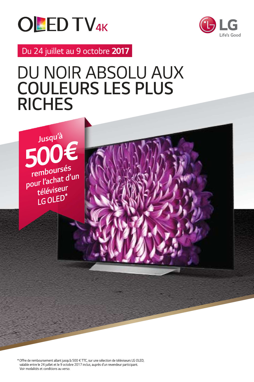



Du 24 juillet au 9 octobre 2017

# DU NOIR ABSOLU AUX **COULEURS LES PLUS RICHES**



\* Offre de remboursement allant jusqu'à 500 € TTC, sur une sélection de téléviseurs LG OLED. valable entre le 24 juillet et le 9 octobre 2017 inclus, auprès d'un revendeur participant. Voir modalités et conditions au verso.